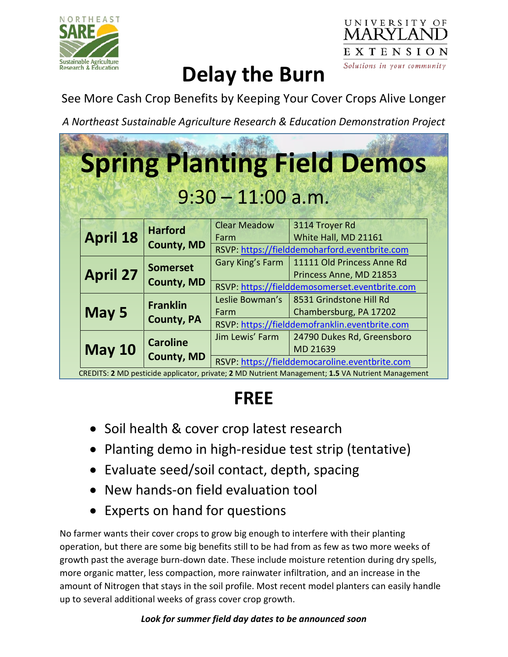



# **Delay the Burn**

See More Cash Crop Benefits by Keeping Your Cover Crops Alive Longer

*A Northeast Sustainable Agriculture Research & Education Demonstration Project*

|                 |                                      |                             | <b>Spring Planting Field Demos</b>                                                                      |
|-----------------|--------------------------------------|-----------------------------|---------------------------------------------------------------------------------------------------------|
|                 |                                      | $9:30 - 11:00$ a.m.         |                                                                                                         |
| <b>April 18</b> | <b>Harford</b><br><b>County, MD</b>  | <b>Clear Meadow</b><br>Farm | 3114 Troyer Rd<br>White Hall, MD 21161<br>RSVP: https://fielddemoharford.eventbrite.com                 |
| <b>April 27</b> | <b>Somerset</b><br><b>County, MD</b> | Gary King's Farm            | 11111 Old Princess Anne Rd<br>Princess Anne, MD 21853<br>RSVP: https://fielddemosomerset.eventbrite.com |
| May 5           | <b>Franklin</b><br><b>County, PA</b> | Leslie Bowman's<br>Farm     | 8531 Grindstone Hill Rd<br>Chambersburg, PA 17202<br>RSVP: https://fielddemofranklin.eventbrite.com     |
| <b>May 10</b>   | <b>Caroline</b><br><b>County, MD</b> | Jim Lewis' Farm             | 24790 Dukes Rd, Greensboro<br>MD 21639<br>RSVP: https://fielddemocaroline.eventbrite.com                |

## **FREE**

- Soil health & cover crop latest research
- Planting demo in high-residue test strip (tentative)
- Evaluate seed/soil contact, depth, spacing
- New hands-on field evaluation tool
- Experts on hand for questions

No farmer wants their cover crops to grow big enough to interfere with their planting operation, but there are some big benefits still to be had from as few as two more weeks of growth past the average burn-down date. These include moisture retention during dry spells, more organic matter, less compaction, more rainwater infiltration, and an increase in the amount of Nitrogen that stays in the soil profile. Most recent model planters can easily handle up to several additional weeks of grass cover crop growth.

### *Look for summer field day dates to be announced soon*